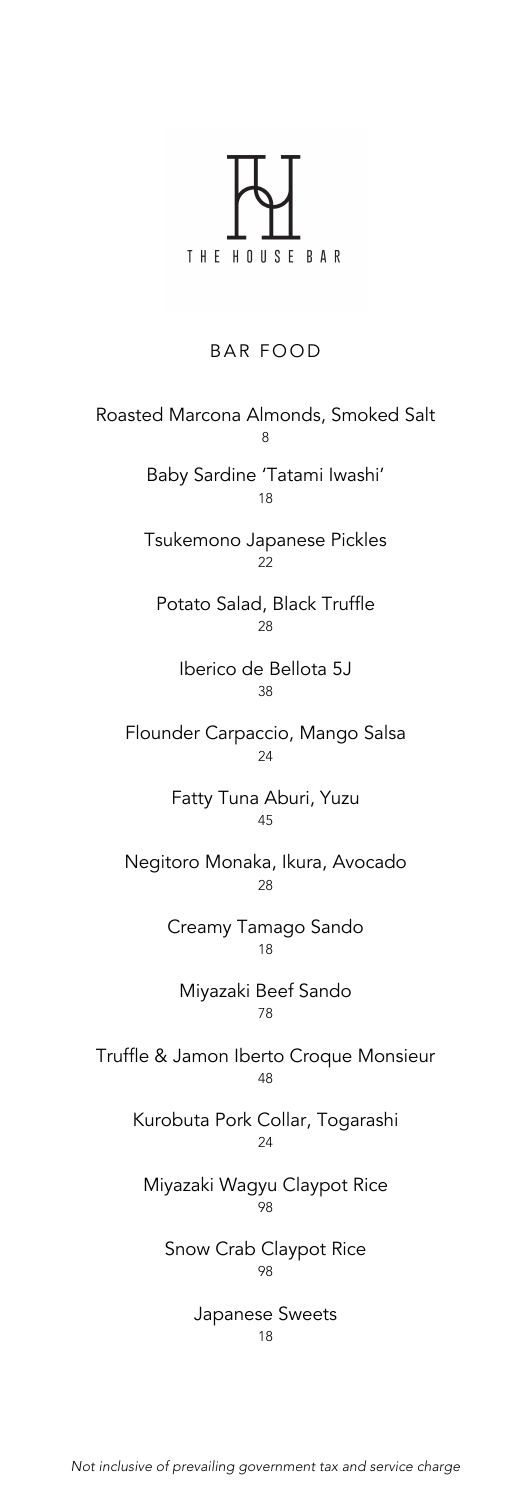# HOUSE BAR THE

## **BAR FOOD**

Roasted Marcona Almonds, Smoked Salt 8 Baby Sardine 'Tatami Iwashi' 18 Tsukemono Japanese Pickles 22 Potato Salad, Black Truffle  $28$ Iberico de Bellota 5J 38 Flounder Carpaccio, Mango Salsa 24 Fatty Tuna Aburi, Yuzu 45 Negitoro Monaka, Ikura, Avocado 28 Creamy Tamago Sando 1<sub>9</sub> Miyazaki Beef Sando 78 Truffle & Jamon Iberto Croque Monsieur 48 Kurobuta Pork Collar, Togarashi  $24$ Miyazaki Wagyu Claypot Rice 98 Snow Crab Claypot Rice 98 Japanese Sweets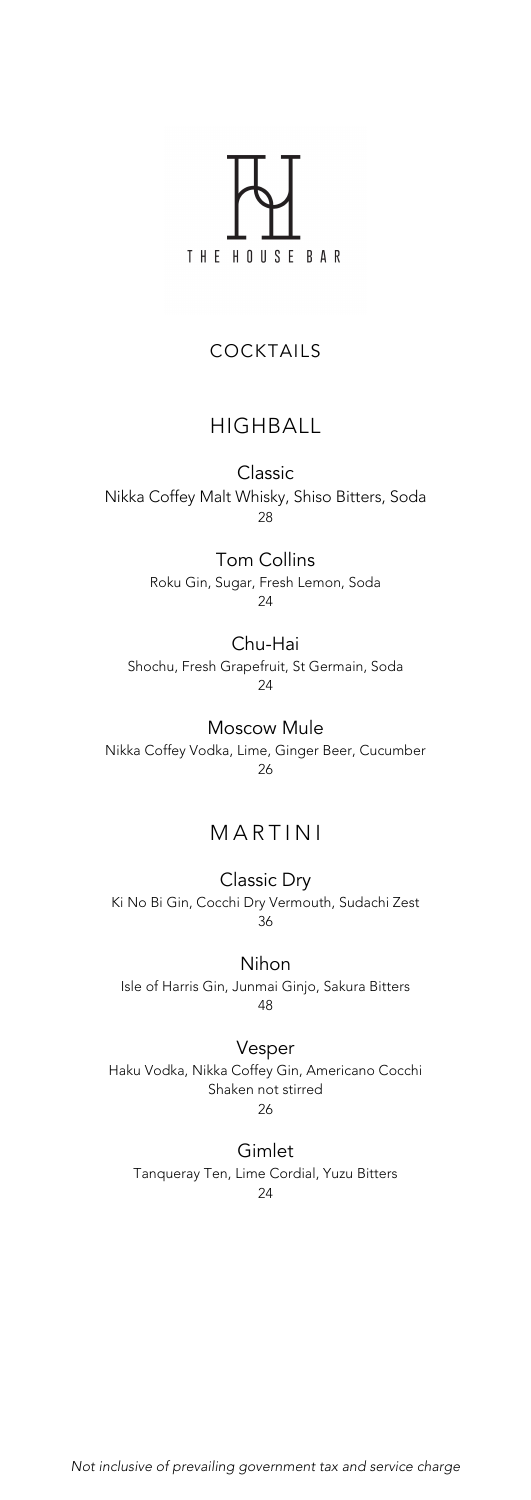

### COCKTAILS

## HIGHBALL

Classic Nikka Coffey Malt Whisky, Shiso Bitters, Soda 28

> Tom Collins Roku Gin, Sugar, Fresh Lemon, Soda 24

#### Chu-Hai

Shochu, Fresh Grapefruit, St Germain, Soda 24

Moscow Mule Nikka Coffey Vodka, Lime, Ginger Beer, Cucumber 26

# MARTIN I

Classic Dry Ki No Bi Gin, Cocchi Dry Vermouth, Sudachi Zest 36

Nihon Isle of Harris Gin, Junmai Ginjo, Sakura Bitters 48

Vesper Haku Vodka, Nikka Coffey Gin, Americano Cocchi Shaken not stirred 26

Gimlet

Tanqueray Ten, Lime Cordial, Yuzu Bitters 24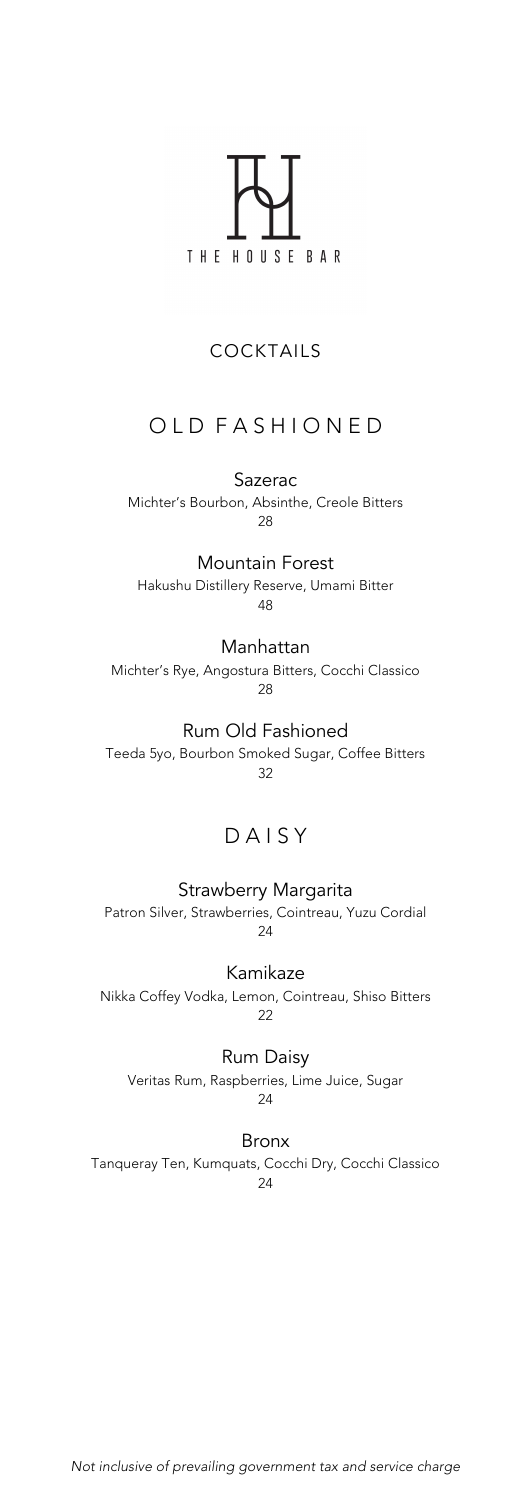

# COCKTAILS

# OLD FASHIONED

Sazerac Michter's Bourbon, Absinthe, Creole Bitters 28

Mountain Forest Hakushu Distillery Reserve, Umami Bitter 48

Manhattan Michter's Rye, Angostura Bitters, Cocchi Classico 28

Rum Old Fashioned Teeda 5yo, Bourbon Smoked Sugar, Coffee Bitters 32

# D A I S Y

Strawberry Margarita Patron Silver, Strawberries, Cointreau, Yuzu Cordial 24

Kamikaze Nikka Coffey Vodka, Lemon, Cointreau, Shiso Bitters 22

Rum Daisy Veritas Rum, Raspberries, Lime Juice, Sugar 24

Bronx

Tanqueray Ten, Kumquats, Cocchi Dry, Cocchi Classico 24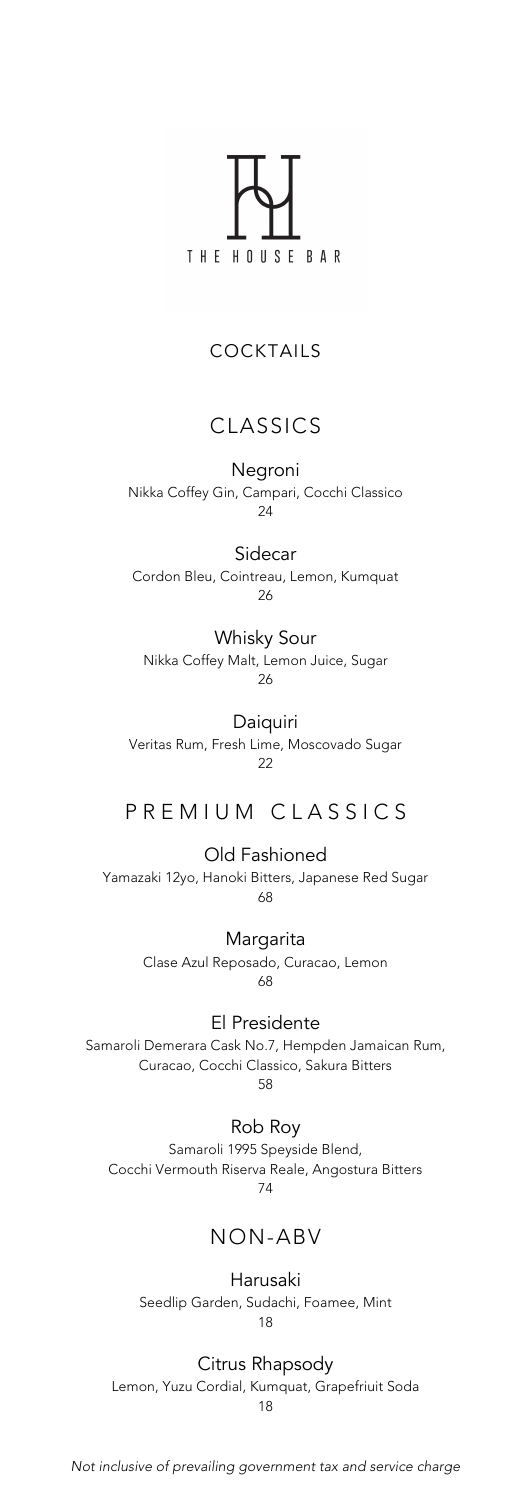

## COCKTAILS

# CLASSICS

Negroni

Nikka Coffey Gin, Campari, Cocchi Classico 24

Sidecar Cordon Bleu, Cointreau, Lemon, Kumquat 26

Whisky Sour Nikka Coffey Malt, Lemon Juice, Sugar 26

Daiquiri Veritas Rum, Fresh Lime, Moscovado Sugar 22

P R E M I U M C L A S S I C S

Old Fashioned Yamazaki 12yo, Hanoki Bitters, Japanese Red Sugar 68

> Margarita Clase Azul Reposado, Curacao, Lemon 68

El Presidente Samaroli Demerara Cask No.7, Hempden Jamaican Rum, Curacao, Cocchi Classico, Sakura Bitters 58

Rob Roy Samaroli 1995 Speyside Blend, Cocchi Vermouth Riserva Reale, Angostura Bitters 74

# NON-ABV

Harusaki

Seedlip Garden, Sudachi, Foamee, Mint 18

Citrus Rhapsody

Lemon, Yuzu Cordial, Kumquat, Grapefriuit Soda 18

*Not inclusive of prevailing government tax and service charge*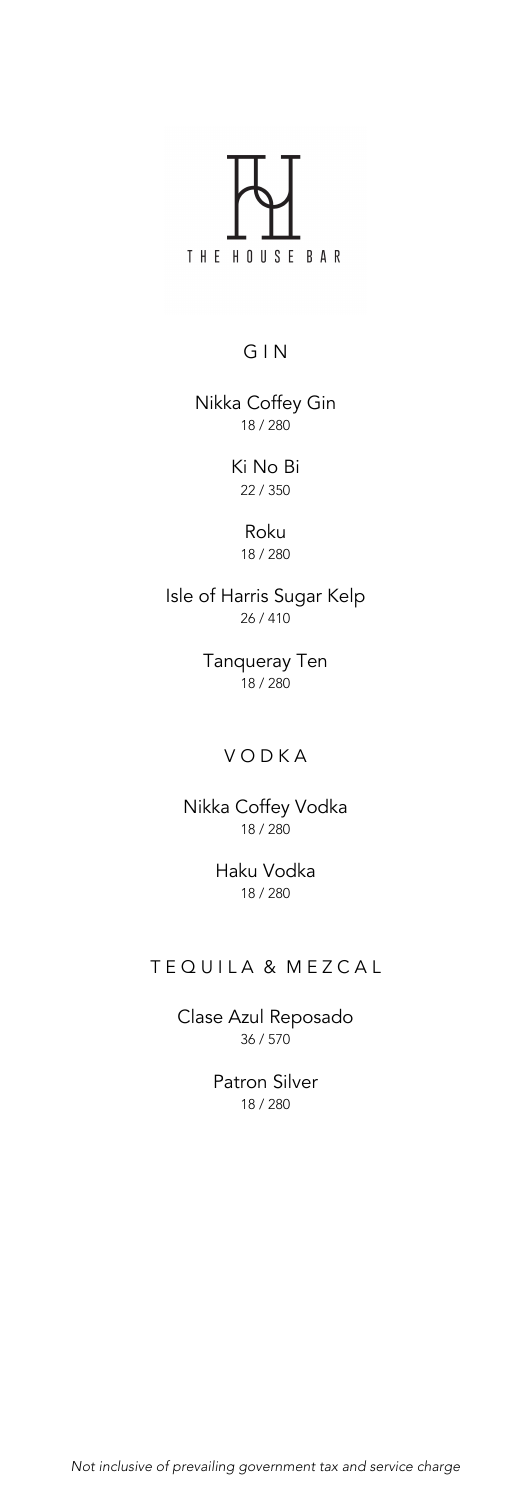

## G I N

Nikka Coffey Gin 18 / 280

> Ki No Bi 22 / 350

> > Roku 18 / 280

Isle of Harris Sugar Kelp 26 / 410

> Tanqueray Ten  $18 / 280$

# **VODKA**

Nikka Coffey Vodka 18 / 280

> Haku Vodka 18 / 280

# TEQUILA & MEZCAL

Clase Azul Reposado 36 / 570

> Patron Silver 18 / 280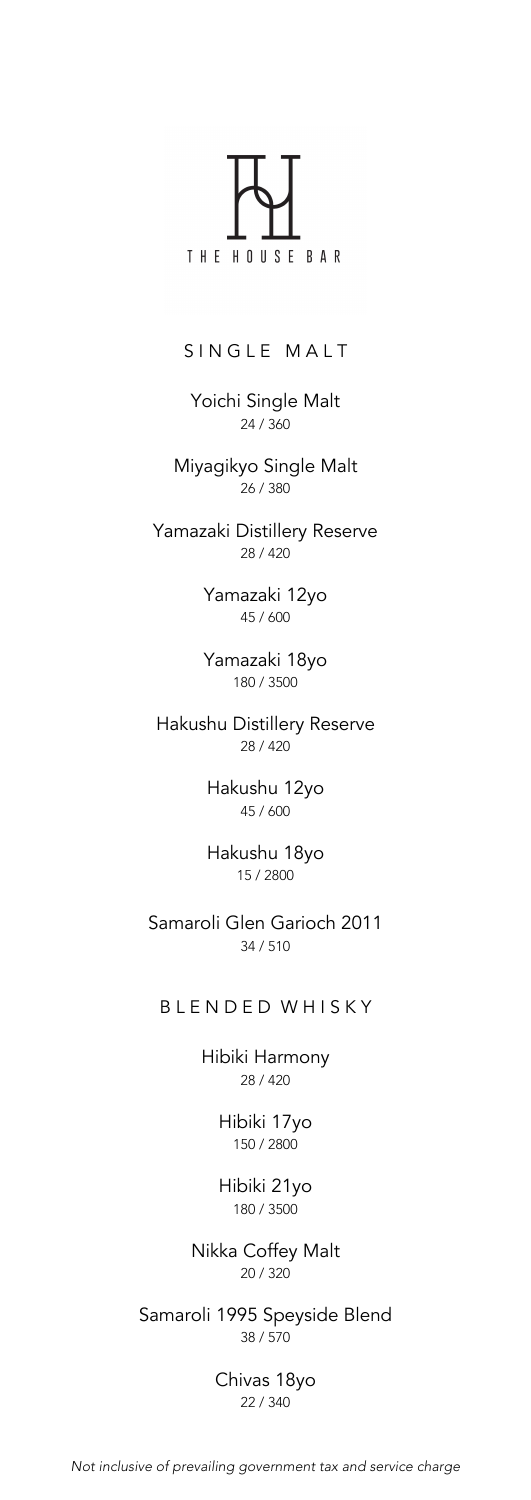

SINGLE MALT

Yoichi Single Malt 24 / 360

Miyagikyo Single Malt 26 / 380

Yamazaki Distillery Reserve 28 / 420

> Yamazaki 12yo 45 / 600

> Yamazaki 18yo 180 / 3500

Hakushu Distillery Reserve 28 / 420

> Hakushu 12yo 45 / 600

> Hakushu 18yo 15 / 2800

Samaroli Glen Garioch 2011 34 / 510

### B L E N D E D W H I S K Y

Hibiki Harmony 28 / 420

> Hibiki 17yo 150 / 2800

> Hibiki 21yo 180 / 3500

Nikka Coffey Malt 20 / 320

Samaroli 1995 Speyside Blend 38 / 570

> Chivas 18yo 22 / 340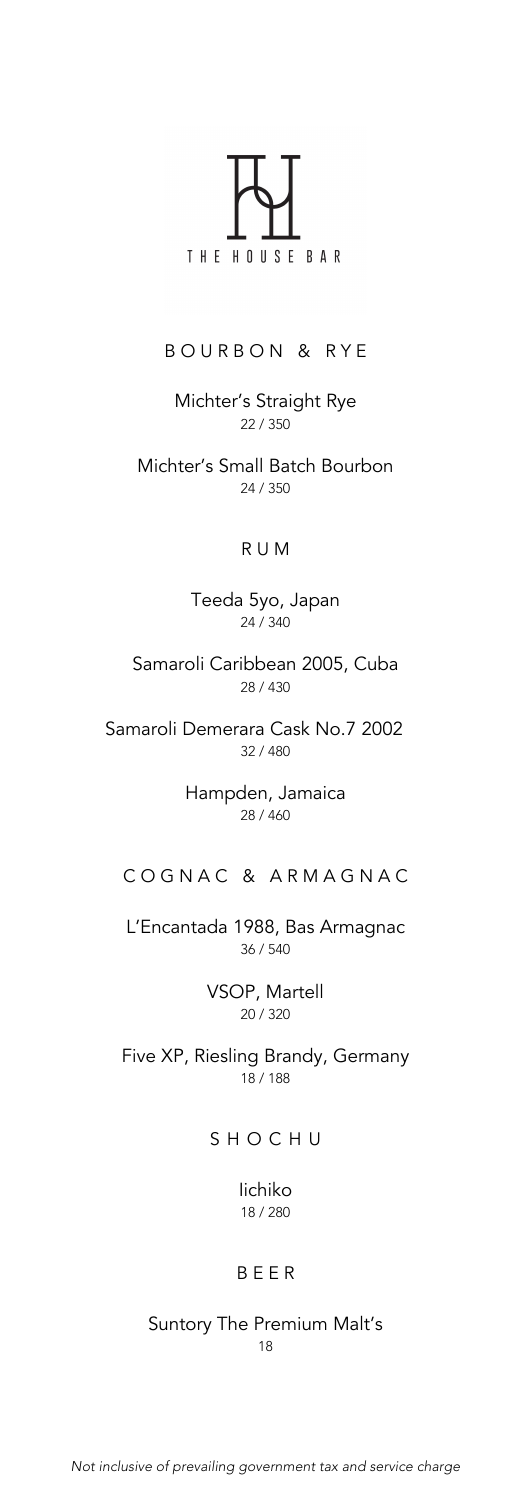

#### BOURBON & RYE

Michter's Straight Rye 22 / 350

Michter's Small Batch Bourbon 24 / 350

#### R U M

Teeda 5yo, Japan 24 / 340

Samaroli Caribbean 2005, Cuba 28 / 430

Samaroli Demerara Cask No.7 2002 32 / 480

> Hampden, Jamaica 28 / 460

### C O G N A C & A R M A G N A C

L'Encantada 1988, Bas Armagnac 36 / 540

> VSOP, Martell 20 / 320

Five XP, Riesling Brandy, Germany 18 / 188

## **SHOCHU**

Iichiko 18 / 280

#### B E E R

Suntory The Premium Malt's 18